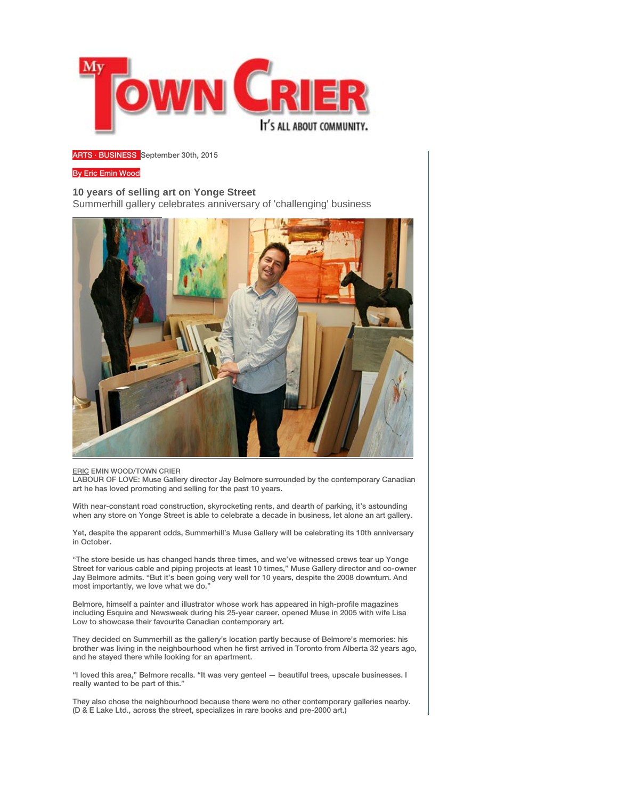

## [ARTS](http://mytowncrier.ca/section/arts/) · [BUSINESS](http://mytowncrier.ca/section/business/) September 30th, 2015

## B[y Eric Emin Wood](http://mytowncrier.ca/author/ericemin/)

## **10 years of selling art on Yonge Street** Summerhill gallery celebrates anniversary of 'challenging' business



## ERIC EMIN WOOD/TOWN CRIER

LABOUR OF LOVE: Muse Gallery director Jay Belmore surrounded by the contemporary Canadian art he has loved promoting and selling for the past 10 years.

With near-constant road construction, skyrocketing rents, and dearth of parking, it's astounding when any store on Yonge Street is able to celebrate a decade in business, let alone an art gallery.

Yet, despite the apparent odds, Summerhill's Muse Gallery will be celebrating its 10th anniversary in October.

"The store beside us has changed hands three times, and we've witnessed crews tear up Yonge Street for various cable and piping projects at least 10 times," Muse Gallery director and co-owner Jay Belmore admits. "But it's been going very well for 10 years, despite the 2008 downturn. And most importantly, we love what we do."

Belmore, himself a painter and illustrator whose work has appeared in high-profile magazines including Esquire and Newsweek during his 25-year career, opened Muse in 2005 with wife Lisa Low to showcase their favourite Canadian contemporary art.

They decided on Summerhill as the gallery's location partly because of Belmore's memories: his brother was living in the neighbourhood when he first arrived in Toronto from Alberta 32 years ago, and he stayed there while looking for an apartment.

"I loved this area," Belmore recalls. "It was very genteel — beautiful trees, upscale businesses. I really wanted to be part of this."

They also chose the neighbourhood because there were no other contemporary galleries nearby. (D & E Lake Ltd., across the street, specializes in rare books and pre-2000 art.)